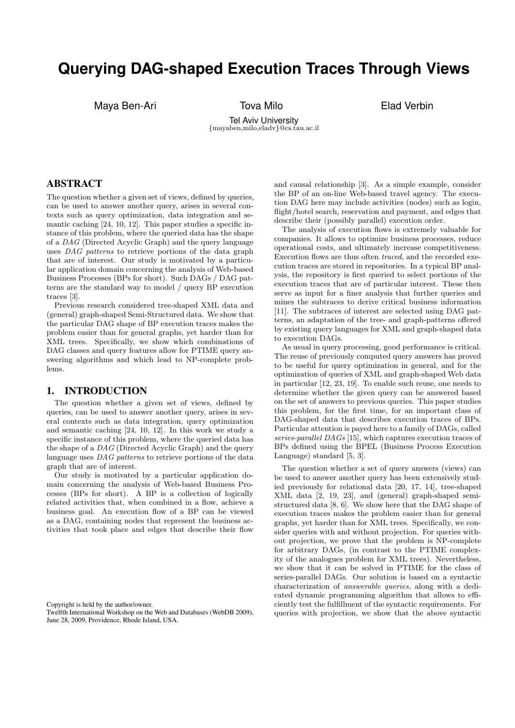# **Querying DAG-shaped Execution Traces Through Views**

Maya Ben-Ari **Tova Milo Elad Verbin** 

Tel Aviv University {mayaben,milo,eladv}@cs.tau.ac.il

# ABSTRACT

The question whether a given set of views, defined by queries, can be used to answer another query, arises in several contexts such as query optimization, data integration and semantic caching [24, 10, 12]. This paper studies a specific instance of this problem, where the queried data has the shape of a DAG (Directed Acyclic Graph) and the query language uses DAG patterns to retrieve portions of the data graph that are of interest. Our study is motivated by a particular application domain concerning the analysis of Web-based Business Processes (BPs for short). Such DAGs / DAG patterns are the standard way to model / query BP execution traces [3].

Previous research considered tree-shaped XML data and (general) graph-shaped Semi-Structured data. We show that the particular DAG shape of BP execution traces makes the problem easier than for general graphs, yet harder than for XML trees. Specifically, we show which combinations of DAG classes and query features allow for PTIME query answering algorithms and which lead to NP-complete problems.

### 1. INTRODUCTION

The question whether a given set of views, defined by queries, can be used to answer another query, arises in several contexts such as data integration, query optimization and semantic caching [24, 10, 12]. In this work we study a specific instance of this problem, where the queried data has the shape of a DAG (Directed Acyclic Graph) and the query language uses DAG patterns to retrieve portions of the data graph that are of interest.

Our study is motivated by a particular application domain concerning the analysis of Web-based Business Processes (BPs for short). A BP is a collection of logically related activities that, when combined in a flow, achieve a business goal. An execution flow of a BP can be viewed as a DAG, containing nodes that represent the business activities that took place and edges that describe their flow

Copyright is held by the author/owner.

Twelfth International Workshop on the Web and Databases (WebDB 2009), June 28, 2009, Providence, Rhode Island, USA.

and causal relationship [3]. As a simple example, consider the BP of an on-line Web-based travel agency. The execution DAG here may include activities (nodes) such as login, flight/hotel search, reservation and payment, and edges that describe their (possibly parallel) execution order.

The analysis of execution flows is extremely valuable for companies. It allows to optimize business processes, reduce operational costs, and ultimately increase competitiveness. Execution flows are thus often traced, and the recorded execution traces are stored in repositories. In a typical BP analysis, the repository is first queried to select portions of the execution traces that are of particular interest. These then serve as input for a finer analysis that further queries and mines the subtraces to derive critical business information [11]. The subtraces of interest are selected using DAG patterns, an adaptation of the tree- and graph-patterns offered by existing query languages for XML and graph-shaped data to execution DAGs.

As usual in query processing, good performance is critical. The reuse of previously computed query answers has proved to be useful for query optimization in general, and for the optimization of queries of XML and graph-shaped Web data in particular [12, 23, 19]. To enable such reuse, one needs to determine whether the given query can be answered based on the set of answers to previous queries. This paper studies this problem, for the first time, for an important class of DAG-shaped data that describes execution traces of BPs. Particular attention is payed here to a family of DAGs, called series-parallel DAGs [15], which captures execution traces of BPs defined using the BPEL (Business Process Execution Language) standard [5, 3].

The question whether a set of query answers (views) can be used to answer another query has been extensively studied previously for relational data [20, 17, 14], tree-shaped XML data [2, 19, 23], and (general) graph-shaped semistructured data [8, 6]. We show here that the DAG shape of execution traces makes the problem easier than for general graphs, yet harder than for XML trees. Specifically, we consider queries with and without projection. For queries without projection, we prove that the problem is NP-complete for arbitrary DAGs, (in contrast to the PTIME complexity of the analogues problem for XML trees). Nevertheless, we show that it can be solved in PTIME for the class of series-parallel DAGs. Our solution is based on a syntactic characterization of answerable queries, along with a dedicated dynamic programming algorithm that allows to efficiently test the fulfillment of the syntactic requirements. For queries with projection, we show that the above syntactic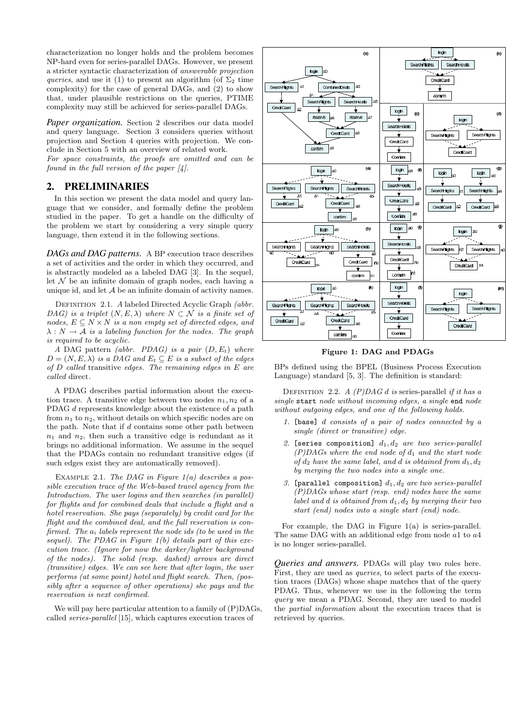characterization no longer holds and the problem becomes NP-hard even for series-parallel DAGs. However, we present a stricter syntactic characterization of answerable projection queries, and use it (1) to present an algorithm (of  $\Sigma_2$  time complexity) for the case of general DAGs, and (2) to show that, under plausible restrictions on the queries, PTIME complexity may still be achieved for series-parallel DAGs.

*Paper organization.* Section 2 describes our data model and query language. Section 3 considers queries without projection and Section 4 queries with projection. We conclude in Section 5 with an overview of related work.

For space constraints, the proofs are omitted and can be found in the full version of the paper [4].

#### 2. PRELIMINARIES

In this section we present the data model and query language that we consider, and formally define the problem studied in the paper. To get a handle on the difficulty of the problem we start by considering a very simple query language, then extend it in the following sections.

*DAGs and DAG patterns.* A BP execution trace describes a set of activities and the order in which they occurred, and is abstractly modeled as a labeled DAG [3]. In the sequel, let  $\mathcal N$  be an infinite domain of graph nodes, each having a unique id, and let  $A$  be an infinite domain of activity names.

DEFINITION 2.1. A labeled Directed Acyclic Graph (abbr. DAG) is a triplet  $(N, E, \lambda)$  where  $N \subset \mathcal{N}$  is a finite set of nodes,  $E \subseteq N \times N$  is a non empty set of directed edges, and  $\lambda : N \to \mathcal{A}$  is a labeling function for the nodes. The graph is required to be acyclic.

A DAG pattern *(abbr. PDAG)* is a pair  $(D, E_t)$  where  $D = (N, E, \lambda)$  is a DAG and  $E_t \subseteq E$  is a subset of the edges of  $D$  called transitive edges. The remaining edges in  $E$  are called direct.

A PDAG describes partial information about the execution trace. A transitive edge between two nodes  $n_1, n_2$  of a PDAG d represents knowledge about the existence of a path from  $n_1$  to  $n_2$ , without details on which specific nodes are on the path. Note that if d contains some other path between  $n_1$  and  $n_2$ , then such a transitive edge is redundant as it brings no additional information. We assume in the sequel that the PDAGs contain no redundant transitive edges (if such edges exist they are automatically removed).

EXAMPLE 2.1. The DAG in Figure  $1(a)$  describes a possible execution trace of the Web-based travel agency from the Introduction. The user logins and then searches (in parallel) for flights and for combined deals that include a flight and a hotel reservation. She pays (separately) by credit card for the flight and the combined deal, and the full reservation is confirmed. The  $a_i$  labels represent the node ids (to be used in the sequel). The PDAG in Figure  $1(b)$  details part of this execution trace. (Ignore for now the darker/lighter background of the nodes). The solid (resp. dashed) arrows are direct (transitive) edges. We can see here that after login, the user performs (at some point) hotel and flight search. Then, (possibly after a sequence of other operations) she pays and the reservation is next confirmed.

We will pay here particular attention to a family of  $(P)DAGs$ , called series-parallel [15], which captures execution traces of



Figure 1: DAG and PDAGs

BPs defined using the BPEL (Business Process Execution Language) standard [5, 3]. The definition is standard:

DEFINITION 2.2. A  $(P)DAG$  d is series-parallel if it has a single start node without incoming edges, a single end node without outgoing edges, and one of the following holds.

- 1. [base] d consists of a pair of nodes connected by a single (direct or transitive) edge.
- 2. [series composition]  $d_1, d_2$  are two series-parallel  $(P)DAGs$  where the end node of  $d_1$  and the start node of  $d_2$  have the same label, and d is obtained from  $d_1, d_2$ by merging the two nodes into a single one.
- 3. [parallel composition]  $d_1, d_2$  are two series-parallel  $(P)DAGs$  whose start (resp. end) nodes have the same label and d is obtained from  $d_1, d_2$  by merging their two start (end) nodes into a single start (end) node.

For example, the DAG in Figure 1(a) is series-parallel. The same DAG with an additional edge from node  $a1$  to  $a4$ is no longer series-parallel.

*Queries and answers.* PDAGs will play two roles here. First, they are used as *queries*, to select parts of the execution traces (DAGs) whose shape matches that of the query PDAG. Thus, whenever we use in the following the term query we mean a PDAG. Second, they are used to model the partial information about the execution traces that is retrieved by queries.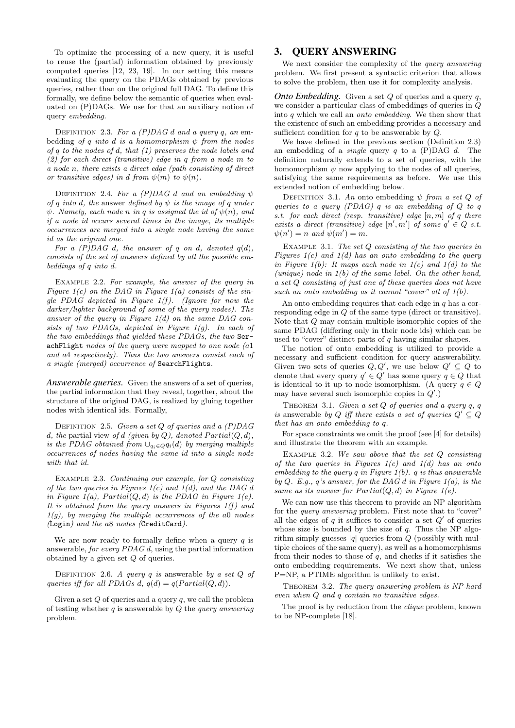To optimize the processing of a new query, it is useful to reuse the (partial) information obtained by previously computed queries [12, 23, 19]. In our setting this means evaluating the query on the PDAGs obtained by previous queries, rather than on the original full DAG. To define this formally, we define below the semantic of queries when evaluated on (P)DAGs. We use for that an auxiliary notion of query embedding.

DEFINITION 2.3. For a  $(P)DAG$  d and a query q, an embedding of q into d is a homomorphism  $\psi$  from the nodes of q to the nodes of d, that (1) preserves the node labels and (2) for each direct (transitive) edge in q from a node m to a node n, there exists a direct edge (path consisting of direct or transitive edges) in d from  $\psi(m)$  to  $\psi(n)$ .

DEFINITION 2.4. For a (P)DAG d and an embedding  $\psi$ of q into d, the answer defined by  $\psi$  is the image of q under  $\psi$ . Namely, each node n in q is assigned the id of  $\psi(n)$ , and if a node id occurs several times in the image, its multiple occurrences are merged into a single node having the same id as the original one.

For a  $(P)DAG$  d, the answer of q on d, denoted  $q(d)$ , consists of the set of answers defined by all the possible embeddings of q into d.

EXAMPLE 2.2. For example, the answer of the query in Figure  $1(c)$  on the DAG in Figure  $1(a)$  consists of the single PDAG depicted in Figure  $1(f)$ . (Ignore for now the darker/lighter background of some of the query nodes). The answer of the query in Figure  $1(d)$  on the same  $DAG$  consists of two PDAGs, depicted in Figure 1(g). In each of the two embeddings that yielded these PDAGs, the two SerachFlight nodes of the query were mapped to one node (a1 and a4 respectively). Thus the two answers consist each of a single (merged) occurrence of SearchFlights.

*Answerable queries.* Given the answers of a set of queries, the partial information that they reveal, together, about the structure of the original DAG, is realized by gluing together nodes with identical ids. Formally,

DEFINITION 2.5. Given a set  $Q$  of queries and a  $(P)DAG$ d, the partial view of d (given by  $Q$ ), denoted  $Partial(Q, d)$ , is the PDAG obtained from  $\bigcup_{q_i \in Q} q_i(d)$  by merging multiple occurrences of nodes having the same id into a single node with that id.

EXAMPLE 2.3. Continuing our example, for Q consisting of the two queries in Figures  $1(c)$  and  $1(d)$ , and the DAG d in Figure 1(a), Partial $(Q, d)$  is the PDAG in Figure 1(e). It is obtained from the query answers in Figures  $1(f)$  and  $1(q)$ , by merging the multiple occurrences of the a0 nodes (Login) and the a8 nodes (CreditCard).

We are now ready to formally define when a query  $q$  is answerable, for every PDAG d, using the partial information obtained by a given set Q of queries.

DEFINITION 2.6. A query q is answerable by a set  $Q$  of queries iff for all PDAGs d,  $q(d) = q(Partial(Q, d))$ .

Given a set  $Q$  of queries and a query  $q$ , we call the problem of testing whether  $q$  is answerable by  $Q$  the *query answering* problem.

# 3. QUERY ANSWERING

We next consider the complexity of the *query answering* problem. We first present a syntactic criterion that allows to solve the problem, then use it for complexity analysis.

*Onto Embedding.* Given a set Q of queries and a query q, we consider a particular class of embeddings of queries in Q into q which we call an onto embedding. We then show that the existence of such an embedding provides a necessary and sufficient condition for  $q$  to be answerable by  $Q$ .

We have defined in the previous section (Definition 2.3) an embedding of a *single* query  $q$  to a  $(P)$ DAG  $d$ . The definition naturally extends to a set of queries, with the homomorphism  $\psi$  now applying to the nodes of all queries, satisfying the same requirements as before. We use this extended notion of embedding below.

DEFINITION 3.1. An onto embedding  $\psi$  from a set Q of queries to a query  $(PDAG)$  q is an embedding of  $O$  to q s.t. for each direct (resp. transitive) edge  $[n, m]$  of q there exists a direct (transitive) edge  $[n',m']$  of some  $q' \in Q$  s.t.  $\psi(n') = n$  and  $\psi(m') = m$ .

EXAMPLE 3.1. The set  $Q$  consisting of the two queries in Figures  $1(c)$  and  $1(d)$  has an onto embedding to the query in Figure  $1(b)$ : It maps each node in  $1(c)$  and  $1(d)$  to the (unique) node in  $1(b)$  of the same label. On the other hand, a set Q consisting of just one of these queries does not have such an onto embedding as it cannot "cover" all of  $1(b)$ .

An onto embedding requires that each edge in  $q$  has a corresponding edge in Q of the same type (direct or transitive). Note that Q may contain multiple isomorphic copies of the same PDAG (differing only in their node ids) which can be used to "cover" distinct parts of  $q$  having similar shapes.

The notion of onto embedding is utilized to provide a necessary and sufficient condition for query answerability. Given two sets of queries  $Q, Q'$ , we use below  $Q' \subseteq Q$  to denote that every query  $q' \in Q'$  has some query  $q \in Q$  that is identical to it up to node isomorphism. (A query  $q \in Q$ may have several such isomorphic copies in  $Q'$ .)

THEOREM 3.1. Given a set  $Q$  of queries and a query  $q, q$ is answerable by Q iff there exists a set of queries  $Q' \subseteq Q$ that has an onto embedding to q.

For space constraints we omit the proof (see [4] for details) and illustrate the theorem with an example.

EXAMPLE 3.2. We saw above that the set  $Q$  consisting of the two queries in Figures  $1(c)$  and  $1(d)$  has an onto embedding to the query  $q$  in Figure 1(b).  $q$  is thus answerable by  $Q$ . E.g.,  $q$ 's answer, for the DAG  $d$  in Figure 1(a), is the same as its answer for  $Partial(Q, d)$  in Figure 1(e).

We can now use this theorem to provide an NP algorithm for the *query answering* problem. First note that to "cover" all the edges of q it suffices to consider a set  $Q'$  of queries whose size is bounded by the size of  $q$ . Thus the NP algorithm simply guesses  $|q|$  queries from Q (possibly with multiple choices of the same query), as well as a homomorphisms from their nodes to those of  $q$ , and checks if it satisfies the onto embedding requirements. We next show that, unless P=NP, a PTIME algorithm is unlikely to exist.

THEOREM 3.2. The query answering problem is NP-hard even when Q and q contain no transitive edges.

The proof is by reduction from the *clique* problem, known to be NP-complete [18].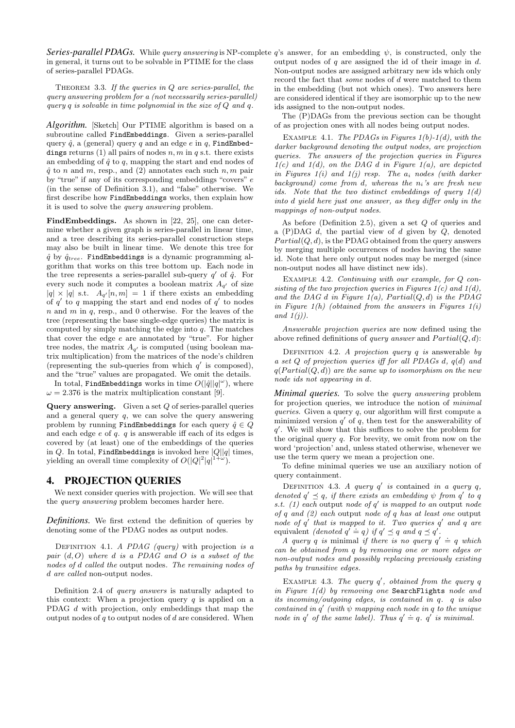Series-parallel PDAGs. While query answering is NP-complete  $q$ 's answer, for an embedding  $\psi$ , is constructed, only the in general, it turns out to be solvable in PTIME for the class of series-parallel PDAGs.

THEOREM 3.3. If the queries in  $Q$  are series-parallel, the query answering problem for a (not necessarily series-parallel) query q is solvable in time polynomial in the size of  $Q$  and  $q$ .

*Algorithm.* [Sketch] Our PTIME algorithm is based on a subroutine called FindEmbeddings. Given a series-parallel query  $\hat{q}$ , a (general) query q and an edge e in q, FindEmbeddings returns (1) all pairs of nodes  $n, m$  in q s.t. there exists an embedding of  $\hat{q}$  to q, mapping the start and end nodes of  $\hat{q}$  to n and m, resp., and (2) annotates each such  $n, m$  pair by "true" if any of its corresponding embeddings "covers" e (in the sense of Definition 3.1), and "false" otherwise. We first describe how FindEmbeddings works, then explain how it is used to solve the query answering problem.

FindEmbeddings. As shown in [22, 25], one can determine whether a given graph is series-parallel in linear time, and a tree describing its series-parallel construction steps may also be built in linear time. We denote this tree for  $\hat{q}$  by  $\hat{q}_{tree}$ . FindEmbeddings is a dynamic programming algorithm that works on this tree bottom up. Each node in the tree represents a series-parallel sub-query  $q'$  of  $\hat{q}$ . For every such node it computes a boolean matrix  $A_{q'}$  of size  $|q| \times |q|$  s.t.  $A_{q'}[n,m] = 1$  if there exists an embedding of  $q'$  to q mapping the start and end nodes of  $q'$  to nodes  $n$  and  $m$  in  $q$ , resp., and 0 otherwise. For the leaves of the tree (representing the base single-edge queries) the matrix is computed by simply matching the edge into  $q$ . The matches that cover the edge e are annotated by "true". For higher tree nodes, the matrix  $A_{q'}$  is computed (using boolean matrix multiplication) from the matrices of the node's children (representing the sub-queries from which  $q'$  is composed), and the "true" values are propagated. We omit the details.

In total, FindEmbeddings works in time  $O(|\hat{q}||q|^{\omega})$ , where  $\omega = 2.376$  is the matrix multiplication constant [9].

**Query answering.** Given a set  $Q$  of series-parallel queries and a general query  $q$ , we can solve the query answering problem by running FindEmbeddings for each query  $\hat{q} \in Q$ and each edge  $e$  of  $q$ .  $q$  is answerable iff each of its edges is covered by (at least) one of the embeddings of the queries in  $Q$ . In total, FindEmbeddings is invoked here  $|Q||q|$  times, yielding an overall time complexity of  $O(|Q|^2|q|^{1+\omega})$ ).

## 4. PROJECTION QUERIES

We next consider queries with projection. We will see that the query answering problem becomes harder here.

*Definitions.* We first extend the definition of queries by denoting some of the PDAG nodes as output nodes.

DEFINITION 4.1. A PDAG (query) with projection is a pair  $(d, 0)$  where d is a PDAG and O is a subset of the nodes of d called the output nodes. The remaining nodes of d are called non-output nodes.

Definition 2.4 of query answers is naturally adapted to this context: When a projection query  $q$  is applied on a PDAG d with projection, only embeddings that map the output nodes of  $q$  to output nodes of  $d$  are considered. When output nodes of  $q$  are assigned the id of their image in  $d$ . Non-output nodes are assigned arbitrary new ids which only record the fact that some nodes of d were matched to them in the embedding (but not which ones). Two answers here are considered identical if they are isomorphic up to the new ids assigned to the non-output nodes.

The (P)DAGs from the previous section can be thought of as projection ones with all nodes being output nodes.

EXAMPLE 4.1. The PDAGs in Figures  $1(b)$ - $1(d)$ , with the darker background denoting the output nodes, are projection queries. The answers of the projection queries in Figures  $1(c)$  and  $1(d)$ , on the DAG d in Figure  $1(a)$ , are depicted in Figures  $1(i)$  and  $1(j)$  resp. The  $a_i$  nodes (with darker background) come from  $d$ , whereas the  $n_i$ 's are fresh new ids. Note that the two distinct embeddings of query  $1(d)$ into d yield here just one answer, as they differ only in the mappings of non-output nodes.

As before (Definition 2.5), given a set Q of queries and a  $(P)$ DAG  $d$ , the partial view of  $d$  given by  $Q$ , denoted  $Partial(Q, d)$ , is the PDAG obtained from the query answers by merging multiple occurrences of nodes having the same id. Note that here only output nodes may be merged (since non-output nodes all have distinct new ids).

EXAMPLE 4.2. Continuing with our example, for Q consisting of the two projection queries in Figures  $1(c)$  and  $1(d)$ , and the DAG d in Figure  $1(a)$ , Partial $(Q, d)$  is the PDAG in Figure  $1(h)$  (obtained from the answers in Figures  $1(i)$ and  $1(j)$ ).

Answerable projection queries are now defined using the above refined definitions of *query answer* and  $Partial(Q, d)$ :

DEFINITION 4.2. A projection query  $q$  is answerable by a set Q of projection queries iff for all PDAGs d, q(d) and  $q(Partial(Q, d))$  are the same up to isomorphism on the new node ids not appearing in d.

*Minimal queries.* To solve the query answering problem for projection queries, we introduce the notion of minimal queries. Given a query  $q$ , our algorithm will first compute a minimized version  $q'$  of q, then test for the answerability of  $q'$ . We will show that this suffices to solve the problem for the original query  $q$ . For brevity, we omit from now on the word 'projection' and, unless stated otherwise, whenever we use the term query we mean a projection one.

To define minimal queries we use an auxiliary notion of query containment.

DEFINITION 4.3. A query  $q'$  is contained in a query q, denoted  $q' \preceq q$ , if there exists an embedding  $\psi$  from  $q'$  to  $q$ s.t. (1) each output node of  $q'$  is mapped to an output node of q and (2) each output node of q has at least one output node of  $q'$  that is mapped to it. Two queries  $q'$  and q are equivalent *(denoted*  $q' \doteq q$ *)* if  $q' \preceq q$  and  $q \preceq q'$ .

A query q is minimal if there is no query  $q' \doteq q$  which can be obtained from q by removing one or more edges or non-output nodes and possibly replacing previously existing paths by transitive edges.

EXAMPLE 4.3. The query  $q'$ , obtained from the query  $q$ in Figure  $1(d)$  by removing one SearchFlights node and its incoming/outgoing edges, is contained in q. q is also contained in  $q'$  (with  $\psi$  mapping each node in q to the unique contained in q (with  $\varphi$  mapping each hode in q to the aniq node in q' of the same label). Thus  $q' \doteq q$ , q' is minimal.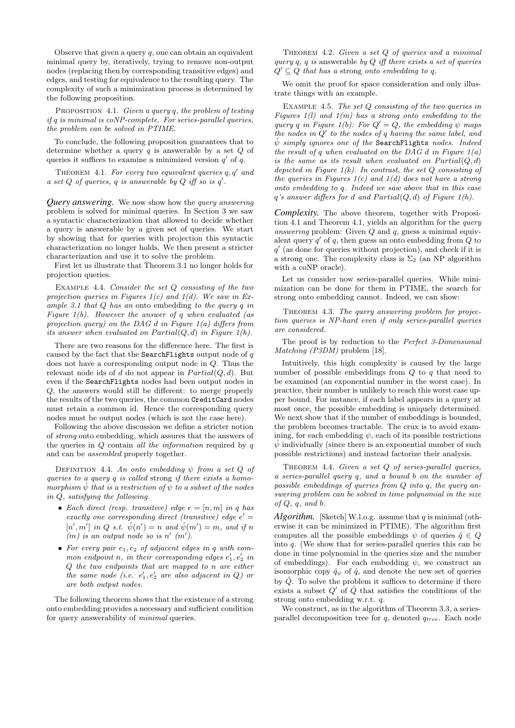Observe that given a query  $q$ , one can obtain an equivalent minimal query by, iteratively, trying to remove non-output nodes (replacing then by corresponding transitive edges) and edges, and testing for equivalence to the resulting query. The complexity of such a minimization process is determined by the following proposition.

PROPOSITION 4.1. Given a query q, the problem of testing if q is minimal is coNP-complete. For series-parallel queries, the problem can be solved in PTIME.

To conclude, the following proposition guarantees that to determine whether a query  $q$  is answerable by a set  $Q$  of queries it suffices to examine a minimized version  $q'$  of  $q$ .

THEOREM 4.1. For every two equivalent queries  $q, q'$  and a set  $Q$  of queries, q is answerable by  $Q$  iff so is  $q'$ .

*Query answering.* We now show how the query answering problem is solved for minimal queries. In Section 3 we saw a syntactic characterization that allowed to decide whether a query is answerable by a given set of queries. We start by showing that for queries with projection this syntactic characterization no longer holds. We then present a stricter characterization and use it to solve the problem.

First let us illustrate that Theorem 3.1 no longer holds for projection queries.

EXAMPLE 4.4. Consider the set  $Q$  consisting of the two projection queries in Figures  $1(c)$  and  $1(d)$ . We saw in Example 3.1 that Q has an onto embedding to the query q in Figure  $1(b)$ . However the answer of q when evaluated (as projection query) on the DAG  $d$  in Figure 1(a) differs from its answer when evaluated on  $Partial(Q, d)$  in Figure 1(h).

There are two reasons for the difference here. The first is caused by the fact that the SearchFlights output node of  $q$ does not have a corresponding output node in Q. Thus the relevant node ids of d do not appear in  $Partial(Q, d)$ . But even if the SearchFlights nodes had been output nodes in Q, the answers would still be different: to merge properly the results of the two queries, the common CreditCard nodes must retain a common id. Hence the corresponding query nodes must be output nodes (which is not the case here).

Following the above discussion we define a stricter notion of strong onto embedding, which assures that the answers of the queries in  $Q$  contain all the information required by  $q$ and can be assembled properly together.

DEFINITION 4.4. An onto embedding  $\psi$  from a set Q of queries to a query q is called strong if there exists a homomorphism  $\tilde{\psi}$  that is a restriction of  $\psi$  to a subset of the nodes in Q, satisfying the following.

- Each direct (resp. transitive) edge  $e = [n, m]$  in q has exactly one corresponding direct (transitive) edge  $e' =$  $[n',m']$  in Q s.t.  $\hat{\psi}(n')=n$  and  $\hat{\psi}(m')=m$ , and if n  $(m)$  is an output node so is n'  $(m')$ .
- For every pair  $e_1, e_2$  of adjacent edges in q with common endpoint n, in their corresponding edges  $e'_1, e'_2$  in Q the two endpoints that are mapped to n are either the same node (i.e.  $e'_1, e'_2$  are also adjacent in Q) or are both output nodes.

The following theorem shows that the existence of a strong onto embedding provides a necessary and sufficient condition for query answerability of minimal queries.

THEOREM 4.2. Given a set  $Q$  of queries and a minimal query  $q$ ,  $q$  is answerable by  $Q$  iff there exists a set of queries  $Q' \subseteq Q$  that has a strong onto embedding to q.

We omit the proof for space consideration and only illustrate things with an example.

EXAMPLE 4.5. The set  $Q$  consisting of the two queries in Figures  $1(l)$  and  $1(m)$  has a strong onto embedding to the query q in Figure 1(b): For  $Q' = Q$ , the embedding  $\psi$  maps the nodes in  $Q'$  to the nodes of q having the same label, and  $\hat{\psi}$  simply ignores one of the Search Flights nodes. Indeed the result of q when evaluated on the DAG d in Figure  $1(a)$ is the same as its result when evaluated on  $Partial(Q, d)$ depicted in Figure  $1(k)$ . In contrast, the set  $Q$  consisting of the queries in Figures  $1(c)$  and  $1(d)$  does not have a strong onto embedding to q. Indeed we saw above that in this case  $q$ 's answer differs for d and  $Partial(Q, d)$  of Figure 1(h).

*Complexity.* The above theorem, together with Proposition 4.1 and Theorem 4.1, yields an algorithm for the query answering problem: Given  $Q$  and  $q$ , guess a minimal equivalent query  $q'$  of q, then guess an onto embedding from  $\overline{Q}$  to  $q'$  (as done for queries without projection), and check if it is a strong one. The complexity class is  $\Sigma_2$  (an NP algorithm with a coNP oracle).

Let us consider now series-parallel queries. While minimization can be done for them in PTIME, the search for strong onto embedding cannot. Indeed, we can show:

THEOREM 4.3. The query answering problem for projection queries is NP-hard even if only series-parallel queries are considered.

The proof is by reduction to the Perfect 3-Dimensional Matching (P3DM) problem [18].

Intuitively, this high complexity is caused by the large number of possible embeddings from  $Q$  to  $q$  that need to be examined (an exponential number in the worst case). In practice, their number is unlikely to reach this worst case upper bound. For instance, if each label appears in a query at most once, the possible embedding is uniquely determined. We next show that if the number of embeddings is bounded, the problem becomes tractable. The crux is to avoid examining, for each embedding  $\psi$ , each of its possible restrictions  $\hat{\psi}$  individually (since there is an exponential number of such possible restrictions) and instead factorize their analysis.

THEOREM 4.4. Given a set Q of series-parallel queries, a series-parallel query q, and a bound b on the number of possible embeddings of queries from Q into q, the query answering problem can be solved in time polynomial in the size  $of Q, q, and b.$ 

*Algorithm.* [Sketch] W.l.o.g. assume that q is minimal (otherwise it can be minimized in PTIME). The algorithm first computes all the possible embeddings  $\psi$  of queries  $\hat{q} \in Q$ into  $q$ . (We show that for series-parallel queries this can be done in time polynomial in the queries size and the number of embeddings). For each embedding  $\psi$ , we construct an isomorphic copy  $\hat{q}_{\psi}$  of  $\hat{q}$ , and denote the new set of queries by  $\hat{Q}$ . To solve the problem it suffices to determine if there exists a subset  $Q'$  of  $\hat{Q}$  that satisfies the conditions of the strong onto embedding w.r.t. q.

We construct, as in the algorithm of Theorem 3.3, a seriesparallel decomposition tree for  $q$ , denoted  $q_{tree}$ . Each node